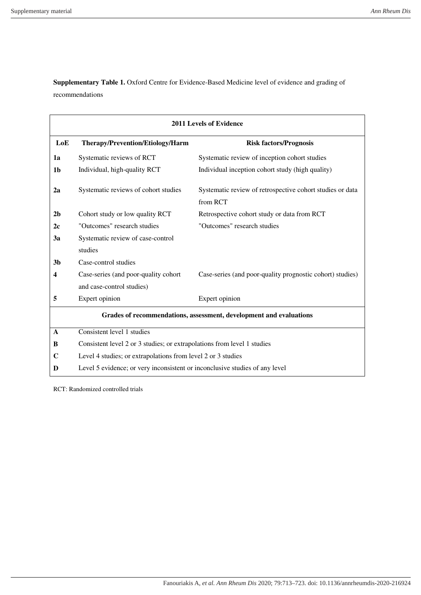Supplementary Table 1. Oxford Centre for Evidence-Based Medicine level of evidence and grading of recommendations

| <b>2011 Levels of Evidence</b>                                     |                                                                             |                                                                       |  |  |  |
|--------------------------------------------------------------------|-----------------------------------------------------------------------------|-----------------------------------------------------------------------|--|--|--|
| LoE                                                                | Therapy/Prevention/Etiology/Harm                                            | <b>Risk factors/Prognosis</b>                                         |  |  |  |
| 1a                                                                 | Systematic reviews of RCT                                                   | Systematic review of inception cohort studies                         |  |  |  |
| 1 <sub>b</sub>                                                     | Individual, high-quality RCT                                                | Individual inception cohort study (high quality)                      |  |  |  |
| 2a                                                                 | Systematic reviews of cohort studies                                        | Systematic review of retrospective cohort studies or data<br>from RCT |  |  |  |
| 2 <sub>b</sub>                                                     | Cohort study or low quality RCT                                             | Retrospective cohort study or data from RCT                           |  |  |  |
| 2c                                                                 | "Outcomes" research studies                                                 | "Outcomes" research studies                                           |  |  |  |
| 3a                                                                 | Systematic review of case-control                                           |                                                                       |  |  |  |
|                                                                    | studies                                                                     |                                                                       |  |  |  |
| 3 <sub>b</sub>                                                     | Case-control studies                                                        |                                                                       |  |  |  |
| 4                                                                  | Case-series (and poor-quality cohort                                        | Case-series (and poor-quality prognostic cohort) studies)             |  |  |  |
|                                                                    | and case-control studies)                                                   |                                                                       |  |  |  |
| 5                                                                  | Expert opinion                                                              | Expert opinion                                                        |  |  |  |
| Grades of recommendations, assessment, development and evaluations |                                                                             |                                                                       |  |  |  |
| A                                                                  | Consistent level 1 studies                                                  |                                                                       |  |  |  |
| B                                                                  | Consistent level 2 or 3 studies; or extrapolations from level 1 studies     |                                                                       |  |  |  |
| $\mathbf C$                                                        | Level 4 studies; or extrapolations from level 2 or 3 studies                |                                                                       |  |  |  |
| D                                                                  | Level 5 evidence; or very inconsistent or inconclusive studies of any level |                                                                       |  |  |  |

RCT: Randomized controlled trials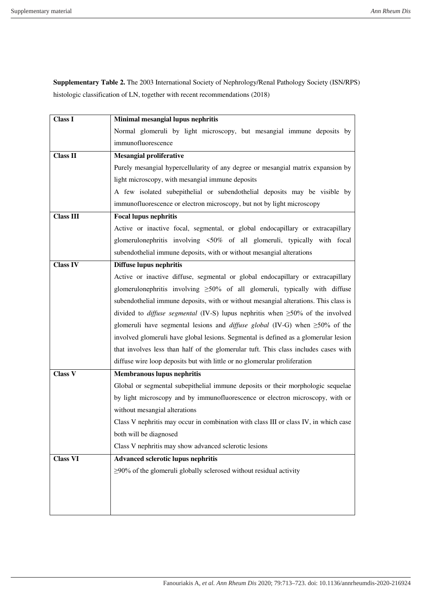**Supplementary Table 2.** The 2003 International Society of Nephrology/Renal Pathology Society (ISN/RPS) histologic classification of LN, together with recent recommendations (2018)

| <b>Class I</b>   | Minimal mesangial lupus nephritis                                                          |  |  |
|------------------|--------------------------------------------------------------------------------------------|--|--|
|                  | Normal glomeruli by light microscopy, but mesangial immune deposits by                     |  |  |
|                  | immunofluorescence                                                                         |  |  |
| <b>Class II</b>  | <b>Mesangial proliferative</b>                                                             |  |  |
|                  | Purely mesangial hypercellularity of any degree or mesangial matrix expansion by           |  |  |
|                  | light microscopy, with mesangial immune deposits                                           |  |  |
|                  | A few isolated subepithelial or subendothelial deposits may be visible by                  |  |  |
|                  | immunofluorescence or electron microscopy, but not by light microscopy                     |  |  |
| <b>Class III</b> | <b>Focal lupus nephritis</b>                                                               |  |  |
|                  | Active or inactive focal, segmental, or global endocapillary or extracapillary             |  |  |
|                  | glomerulonephritis involving <50% of all glomeruli, typically with focal                   |  |  |
|                  | subendothelial immune deposits, with or without mesangial alterations                      |  |  |
| <b>Class IV</b>  | <b>Diffuse lupus nephritis</b>                                                             |  |  |
|                  | Active or inactive diffuse, segmental or global endocapillary or extracapillary            |  |  |
|                  | glomerulonephritis involving $\geq 50\%$ of all glomeruli, typically with diffuse          |  |  |
|                  | subendothelial immune deposits, with or without mesangial alterations. This class is       |  |  |
|                  | divided to <i>diffuse segmental</i> (IV-S) lupus nephritis when $\geq$ 50% of the involved |  |  |
|                  | glomeruli have segmental lesions and <i>diffuse global</i> (IV-G) when $\geq$ 50% of the   |  |  |
|                  | involved glomeruli have global lesions. Segmental is defined as a glomerular lesion        |  |  |
|                  | that involves less than half of the glomerular tuft. This class includes cases with        |  |  |
|                  | diffuse wire loop deposits but with little or no glomerular proliferation                  |  |  |
| <b>Class V</b>   | <b>Membranous lupus nephritis</b>                                                          |  |  |
|                  | Global or segmental subepithelial immune deposits or their morphologic sequelae            |  |  |
|                  | by light microscopy and by immunofluorescence or electron microscopy, with or              |  |  |
|                  | without mesangial alterations                                                              |  |  |
|                  | Class V nephritis may occur in combination with class III or class IV, in which case       |  |  |
|                  | both will be diagnosed                                                                     |  |  |
|                  | Class V nephritis may show advanced sclerotic lesions                                      |  |  |
| <b>Class VI</b>  | Advanced sclerotic lupus nephritis                                                         |  |  |
|                  | $\geq$ 90% of the glomeruli globally sclerosed without residual activity                   |  |  |
|                  |                                                                                            |  |  |
|                  |                                                                                            |  |  |
|                  |                                                                                            |  |  |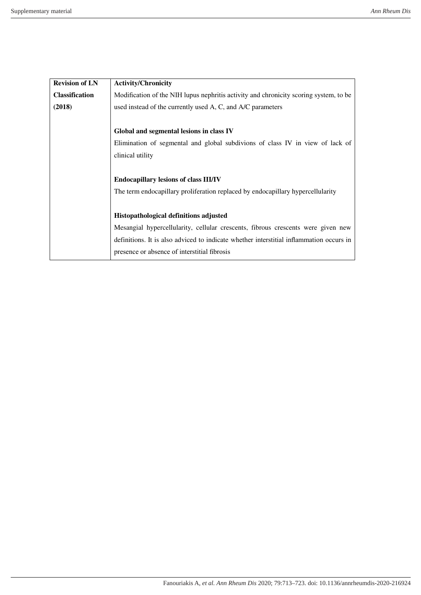| <b>Revision of LN</b> | <b>Activity/Chronicity</b>                                                              |  |
|-----------------------|-----------------------------------------------------------------------------------------|--|
| <b>Classification</b> | Modification of the NIH lupus nephritis activity and chronicity scoring system, to be   |  |
| (2018)                | used instead of the currently used A, C, and A/C parameters                             |  |
|                       |                                                                                         |  |
|                       | Global and segmental lesions in class IV                                                |  |
|                       | Elimination of segmental and global subdivions of class IV in view of lack of           |  |
|                       | clinical utility                                                                        |  |
|                       |                                                                                         |  |
|                       | <b>Endocapillary lesions of class III/IV</b>                                            |  |
|                       | The term endocapillary proliferation replaced by endocapillary hypercellularity         |  |
|                       |                                                                                         |  |
|                       | Histopathological definitions adjusted                                                  |  |
|                       | Mesangial hypercellularity, cellular crescents, fibrous crescents were given new        |  |
|                       | definitions. It is also adviced to indicate whether interstitial inflammation occurs in |  |
|                       | presence or absence of interstitial fibrosis                                            |  |